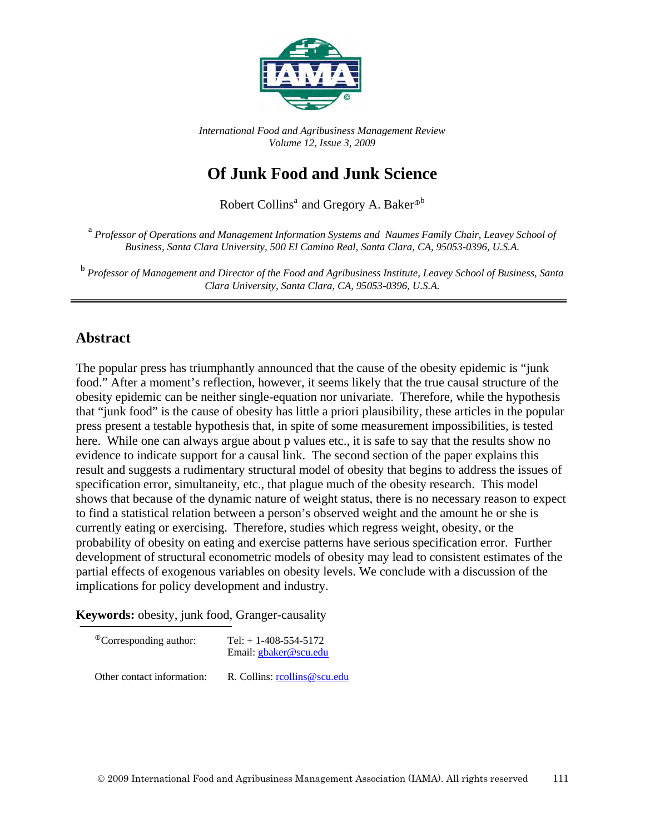

*International Food and Agribusiness Management Review Volume 12, Issue 3, 2009*

# **Of Junk Food and Junk Science**

Robert Collins<sup>a</sup> and Gregory A. Baker<sup>®b</sup>

<sup>a</sup> *Professor of Operations and Management Information Systems and Naumes Family Chair, Leavey School of Business, Santa Clara University, 500 El Camino Real, Santa Clara, CA, 95053-0396, U.S.A.*

<sup>b</sup> *Professor of Management and Director of the Food and Agribusiness Institute, Leavey School of Business, Santa Clara University, Santa Clara, CA, 95053-0396, U.S.A.*

#### **Abstract**

The popular press has triumphantly announced that the cause of the obesity epidemic is "junk food." After a moment's reflection, however, it seems likely that the true causal structure of the obesity epidemic can be neither single-equation nor univariate. Therefore, while the hypothesis that "junk food" is the cause of obesity has little a priori plausibility, these articles in the popular press present a testable hypothesis that, in spite of some measurement impossibilities, is tested here. While one can always argue about p values etc., it is safe to say that the results show no evidence to indicate support for a causal link. The second section of the paper explains this result and suggests a rudimentary structural model of obesity that begins to address the issues of specification error, simultaneity, etc., that plague much of the obesity research. This model shows that because of the dynamic nature of weight status, there is no necessary reason to expect to find a statistical relation between a person's observed weight and the amount he or she is currently eating or exercising. Therefore, studies which regress weight, obesity, or the probability of obesity on eating and exercise patterns have serious specification error. Further development of structural econometric models of obesity may lead to consistent estimates of the partial effects of exogenous variables on obesity levels. We conclude with a discussion of the implications for policy development and industry.

**Keywords:** obesity, junk food, Granger-causality

| <sup>®</sup> Corresponding author: | Tel: $+ 1 - 408 - 554 - 5172$<br>Email: gbaker@scu.edu |
|------------------------------------|--------------------------------------------------------|
| Other contact information:         | R. Collins: reollins@scu.edu                           |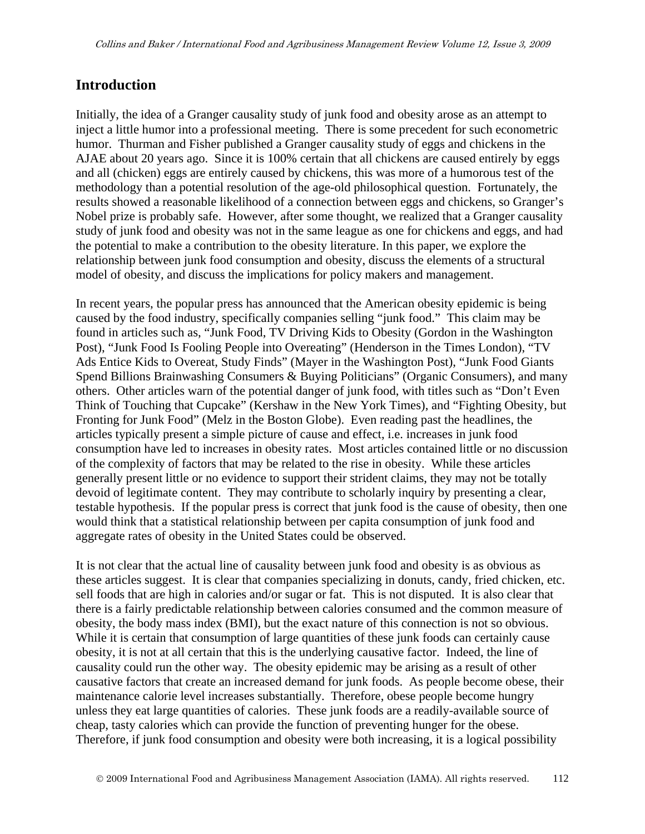#### **Introduction**

Initially, the idea of a Granger causality study of junk food and obesity arose as an attempt to inject a little humor into a professional meeting. There is some precedent for such econometric humor. Thurman and Fisher published a Granger causality study of eggs and chickens in the AJAE about 20 years ago. Since it is 100% certain that all chickens are caused entirely by eggs and all (chicken) eggs are entirely caused by chickens, this was more of a humorous test of the methodology than a potential resolution of the age-old philosophical question. Fortunately, the results showed a reasonable likelihood of a connection between eggs and chickens, so Granger's Nobel prize is probably safe. However, after some thought, we realized that a Granger causality study of junk food and obesity was not in the same league as one for chickens and eggs, and had the potential to make a contribution to the obesity literature. In this paper, we explore the relationship between junk food consumption and obesity, discuss the elements of a structural model of obesity, and discuss the implications for policy makers and management.

In recent years, the popular press has announced that the American obesity epidemic is being caused by the food industry, specifically companies selling "junk food." This claim may be found in articles such as, "Junk Food, TV Driving Kids to Obesity (Gordon in the Washington Post), "Junk Food Is Fooling People into Overeating" (Henderson in the Times London), "TV Ads Entice Kids to Overeat, Study Finds" (Mayer in the Washington Post), "Junk Food Giants Spend Billions Brainwashing Consumers & Buying Politicians" (Organic Consumers), and many others. Other articles warn of the potential danger of junk food, with titles such as "Don't Even Think of Touching that Cupcake" (Kershaw in the New York Times), and "Fighting Obesity, but Fronting for Junk Food" (Melz in the Boston Globe). Even reading past the headlines, the articles typically present a simple picture of cause and effect, i.e. increases in junk food consumption have led to increases in obesity rates. Most articles contained little or no discussion of the complexity of factors that may be related to the rise in obesity. While these articles generally present little or no evidence to support their strident claims, they may not be totally devoid of legitimate content. They may contribute to scholarly inquiry by presenting a clear, testable hypothesis. If the popular press is correct that junk food is the cause of obesity, then one would think that a statistical relationship between per capita consumption of junk food and aggregate rates of obesity in the United States could be observed.

It is not clear that the actual line of causality between junk food and obesity is as obvious as these articles suggest. It is clear that companies specializing in donuts, candy, fried chicken, etc. sell foods that are high in calories and/or sugar or fat. This is not disputed. It is also clear that there is a fairly predictable relationship between calories consumed and the common measure of obesity, the body mass index (BMI), but the exact nature of this connection is not so obvious. While it is certain that consumption of large quantities of these junk foods can certainly cause obesity, it is not at all certain that this is the underlying causative factor. Indeed, the line of causality could run the other way. The obesity epidemic may be arising as a result of other causative factors that create an increased demand for junk foods. As people become obese, their maintenance calorie level increases substantially. Therefore, obese people become hungry unless they eat large quantities of calories. These junk foods are a readily-available source of cheap, tasty calories which can provide the function of preventing hunger for the obese. Therefore, if junk food consumption and obesity were both increasing, it is a logical possibility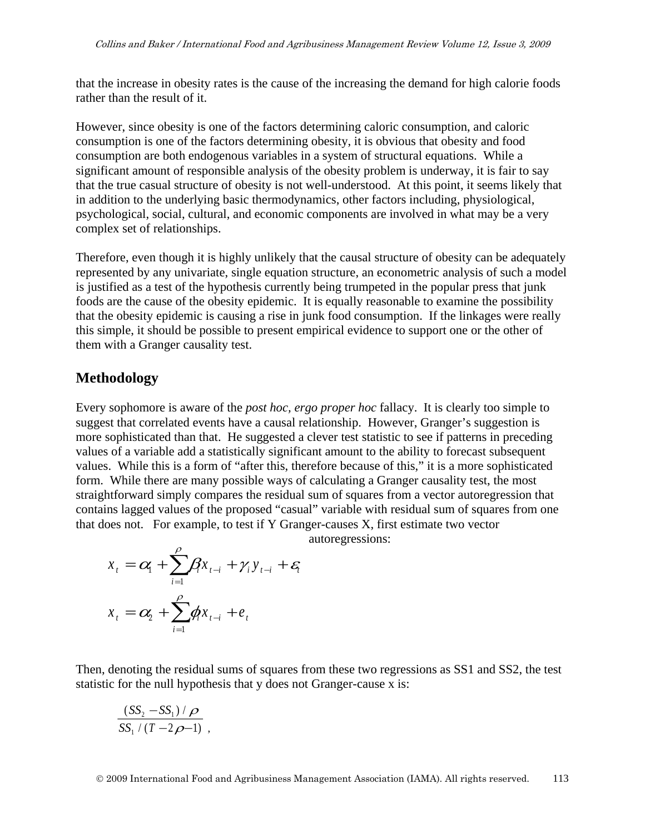that the increase in obesity rates is the cause of the increasing the demand for high calorie foods rather than the result of it.

However, since obesity is one of the factors determining caloric consumption, and caloric consumption is one of the factors determining obesity, it is obvious that obesity and food consumption are both endogenous variables in a system of structural equations. While a significant amount of responsible analysis of the obesity problem is underway, it is fair to say that the true casual structure of obesity is not well-understood. At this point, it seems likely that in addition to the underlying basic thermodynamics, other factors including, physiological, psychological, social, cultural, and economic components are involved in what may be a very complex set of relationships.

Therefore, even though it is highly unlikely that the causal structure of obesity can be adequately represented by any univariate, single equation structure, an econometric analysis of such a model is justified as a test of the hypothesis currently being trumpeted in the popular press that junk foods are the cause of the obesity epidemic. It is equally reasonable to examine the possibility that the obesity epidemic is causing a rise in junk food consumption. If the linkages were really this simple, it should be possible to present empirical evidence to support one or the other of them with a Granger causality test.

#### **Methodology**

Every sophomore is aware of the *post hoc, ergo proper hoc* fallacy. It is clearly too simple to suggest that correlated events have a causal relationship. However, Granger's suggestion is more sophisticated than that. He suggested a clever test statistic to see if patterns in preceding values of a variable add a statistically significant amount to the ability to forecast subsequent values. While this is a form of "after this, therefore because of this," it is a more sophisticated form. While there are many possible ways of calculating a Granger causality test, the most straightforward simply compares the residual sum of squares from a vector autoregression that contains lagged values of the proposed "casual" variable with residual sum of squares from one that does not. For example, to test if Y Granger-causes X, first estimate two vector

autoregressions:

$$
x_{t} = \alpha_{t} + \sum_{i=1}^{\rho} \beta_{t} x_{t-i} + \gamma_{i} y_{t-i} + \varepsilon_{t}
$$

$$
x_{t} = \alpha_{t} + \sum_{i=1}^{\rho} \phi_{t} x_{t-i} + e_{t}
$$

Then, denoting the residual sums of squares from these two regressions as SS1 and SS2, the test statistic for the null hypothesis that y does not Granger-cause x is:

$$
\frac{(SS_2 - SS_1)/\rho}{SS_1/(T-2\rho-1)},
$$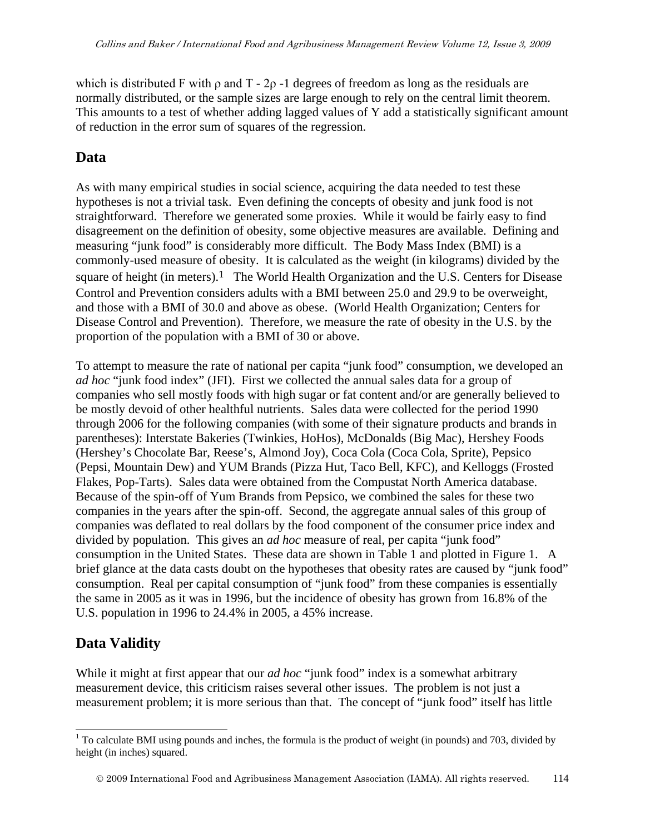which is distributed F with  $\rho$  and T - 2 $\rho$  -1 degrees of freedom as long as the residuals are normally distributed, or the sample sizes are large enough to rely on the central limit theorem. This amounts to a test of whether adding lagged values of Y add a statistically significant amount of reduction in the error sum of squares of the regression.

#### **Data**

As with many empirical studies in social science, acquiring the data needed to test these hypotheses is not a trivial task. Even defining the concepts of obesity and junk food is not straightforward. Therefore we generated some proxies. While it would be fairly easy to find disagreement on the definition of obesity, some objective measures are available. Defining and measuring "junk food" is considerably more difficult. The Body Mass Index (BMI) is a commonly-used measure of obesity. It is calculated as the weight (in kilograms) divided by the square of height (in meters).<sup>[1](#page-3-0)</sup> The World Health Organization and the U.S. Centers for Disease Control and Prevention considers adults with a BMI between 25.0 and 29.9 to be overweight, and those with a BMI of 30.0 and above as obese. (World Health Organization; Centers for Disease Control and Prevention). Therefore, we measure the rate of obesity in the U.S. by the proportion of the population with a BMI of 30 or above.

To attempt to measure the rate of national per capita "junk food" consumption, we developed an *ad hoc* "junk food index" (JFI). First we collected the annual sales data for a group of companies who sell mostly foods with high sugar or fat content and/or are generally believed to be mostly devoid of other healthful nutrients. Sales data were collected for the period 1990 through 2006 for the following companies (with some of their signature products and brands in parentheses): Interstate Bakeries (Twinkies, HoHos), McDonalds (Big Mac), Hershey Foods (Hershey's Chocolate Bar, Reese's, Almond Joy), Coca Cola (Coca Cola, Sprite), Pepsico (Pepsi, Mountain Dew) and YUM Brands (Pizza Hut, Taco Bell, KFC), and Kelloggs (Frosted Flakes, Pop-Tarts). Sales data were obtained from the Compustat North America database. Because of the spin-off of Yum Brands from Pepsico, we combined the sales for these two companies in the years after the spin-off. Second, the aggregate annual sales of this group of companies was deflated to real dollars by the food component of the consumer price index and divided by population. This gives an *ad hoc* measure of real, per capita "junk food" consumption in the United States. These data are shown in Table 1 and plotted in Figure 1. A brief glance at the data casts doubt on the hypotheses that obesity rates are caused by "junk food" consumption. Real per capital consumption of "junk food" from these companies is essentially the same in 2005 as it was in 1996, but the incidence of obesity has grown from 16.8% of the U.S. population in 1996 to 24.4% in 2005, a 45% increase.

## **Data Validity**

 $\overline{a}$ 

While it might at first appear that our *ad hoc* "junk food" index is a somewhat arbitrary measurement device, this criticism raises several other issues. The problem is not just a measurement problem; it is more serious than that. The concept of "junk food" itself has little

<span id="page-3-0"></span> $1$  To calculate BMI using pounds and inches, the formula is the product of weight (in pounds) and 703, divided by height (in inches) squared.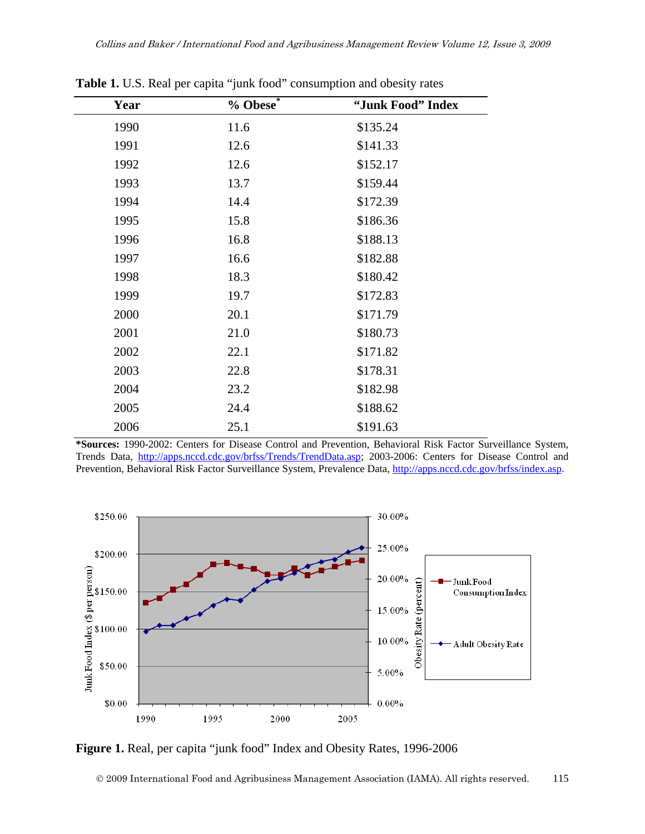| Year | $%$ Obese $*$ | "Junk Food" Index |
|------|---------------|-------------------|
| 1990 | 11.6          | \$135.24          |
| 1991 | 12.6          | \$141.33          |
| 1992 | 12.6          | \$152.17          |
| 1993 | 13.7          | \$159.44          |
| 1994 | 14.4          | \$172.39          |
| 1995 | 15.8          | \$186.36          |
| 1996 | 16.8          | \$188.13          |
| 1997 | 16.6          | \$182.88          |
| 1998 | 18.3          | \$180.42          |
| 1999 | 19.7          | \$172.83          |
| 2000 | 20.1          | \$171.79          |
| 2001 | 21.0          | \$180.73          |
| 2002 | 22.1          | \$171.82          |
| 2003 | 22.8          | \$178.31          |
| 2004 | 23.2          | \$182.98          |
| 2005 | 24.4          | \$188.62          |
| 2006 | 25.1          | \$191.63          |

**Table 1.** U.S. Real per capita "junk food" consumption and obesity rates

**\*Sources:** 1990-2002: Centers for Disease Control and Prevention, Behavioral Risk Factor Surveillance System, Trends Data, http://apps.nccd.cdc.gov/brfss/Trends/TrendData.asp; 2003-2006: Centers for Disease Control and Prevention, Behavioral Risk Factor Surveillance System, Prevalence Data, http://apps.nccd.cdc.gov/brfss/index.asp.



**Figure 1.** Real, per capita "junk food" Index and Obesity Rates, 1996-2006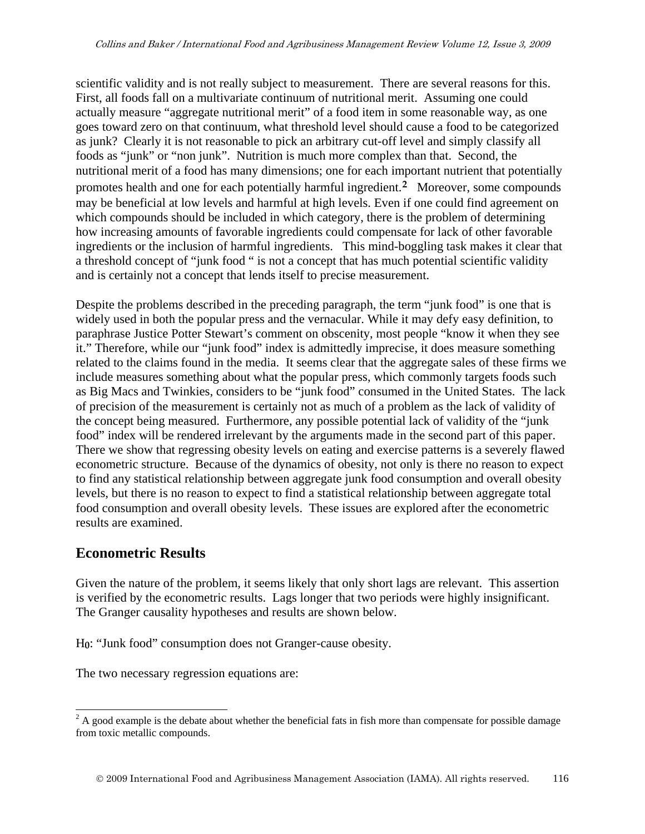scientific validity and is not really subject to measurement. There are several reasons for this. First, all foods fall on a multivariate continuum of nutritional merit. Assuming one could actually measure "aggregate nutritional merit" of a food item in some reasonable way, as one goes toward zero on that continuum, what threshold level should cause a food to be categorized as junk? Clearly it is not reasonable to pick an arbitrary cut-off level and simply classify all foods as "junk" or "non junk". Nutrition is much more complex than that. Second, the nutritional merit of a food has many dimensions; one for each important nutrient that potentially promotes health and one for each potentially harmful ingredient.**[2](#page-5-0)** Moreover, some compounds may be beneficial at low levels and harmful at high levels. Even if one could find agreement on which compounds should be included in which category, there is the problem of determining how increasing amounts of favorable ingredients could compensate for lack of other favorable ingredients or the inclusion of harmful ingredients. This mind-boggling task makes it clear that a threshold concept of "junk food " is not a concept that has much potential scientific validity and is certainly not a concept that lends itself to precise measurement.

Despite the problems described in the preceding paragraph, the term "junk food" is one that is widely used in both the popular press and the vernacular. While it may defy easy definition, to paraphrase Justice Potter Stewart's comment on obscenity, most people "know it when they see it." Therefore, while our "junk food" index is admittedly imprecise, it does measure something related to the claims found in the media. It seems clear that the aggregate sales of these firms we include measures something about what the popular press, which commonly targets foods such as Big Macs and Twinkies, considers to be "junk food" consumed in the United States. The lack of precision of the measurement is certainly not as much of a problem as the lack of validity of the concept being measured. Furthermore, any possible potential lack of validity of the "junk food" index will be rendered irrelevant by the arguments made in the second part of this paper. There we show that regressing obesity levels on eating and exercise patterns is a severely flawed econometric structure. Because of the dynamics of obesity, not only is there no reason to expect to find any statistical relationship between aggregate junk food consumption and overall obesity levels, but there is no reason to expect to find a statistical relationship between aggregate total food consumption and overall obesity levels. These issues are explored after the econometric results are examined.

#### **Econometric Results**

Given the nature of the problem, it seems likely that only short lags are relevant. This assertion is verified by the econometric results. Lags longer that two periods were highly insignificant. The Granger causality hypotheses and results are shown below.

H**0**: "Junk food" consumption does not Granger-cause obesity.

The two necessary regression equations are:

<span id="page-5-0"></span> $\overline{a}$  $2^2$  A good example is the debate about whether the beneficial fats in fish more than compensate for possible damage from toxic metallic compounds.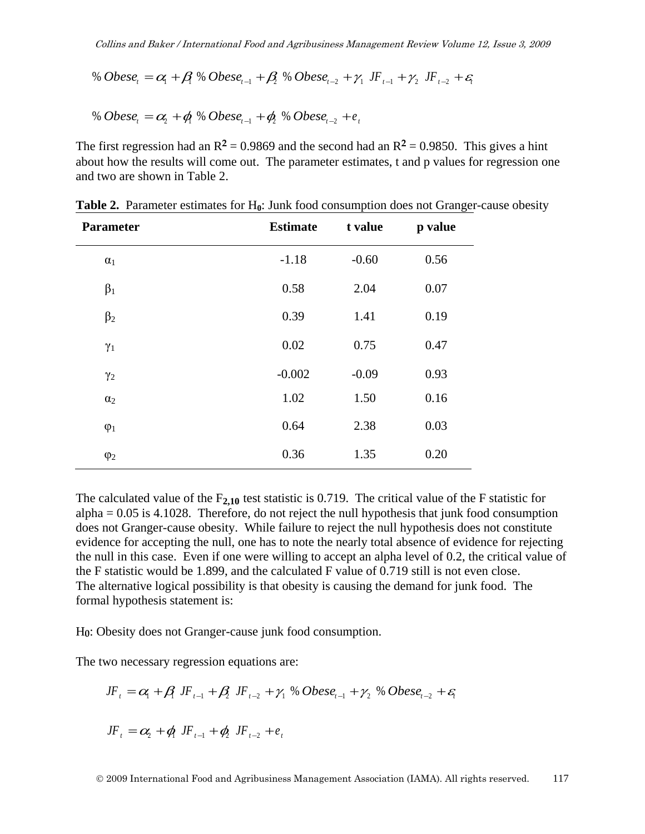% Obese<sub>t</sub> = 
$$
\alpha_1 + \beta_1 \otimes \text{Obese}_{t-1} + \beta_2 \otimes \text{Obese}_{t-2} + \gamma_1 JF_{t-1} + \gamma_2 JF_{t-2} + \varepsilon_t
$$

$$
\% Obese_{i} = \alpha_{2} + \phi_{i} \% Obese_{i-1} + \phi_{i} \% Obese_{i-2} + e_{i}
$$

The first regression had an  $R^2 = 0.9869$  and the second had an  $R^2 = 0.9850$ . This gives a hint about how the results will come out. The parameter estimates, t and p values for regression one and two are shown in Table 2.

| <b>Parameter</b> | <b>Estimate</b> | t value | p value |
|------------------|-----------------|---------|---------|
| $\alpha_1$       | $-1.18$         | $-0.60$ | 0.56    |
| $\beta_1$        | 0.58            | 2.04    | 0.07    |
| $\beta_2$        | 0.39            | 1.41    | 0.19    |
| $\gamma_1$       | 0.02            | 0.75    | 0.47    |
| $\gamma_2$       | $-0.002$        | $-0.09$ | 0.93    |
| $\alpha_2$       | 1.02            | 1.50    | 0.16    |
| $\varphi_1$      | 0.64            | 2.38    | 0.03    |
| $\varphi_2$      | 0.36            | 1.35    | 0.20    |

**Table 2.** Parameter estimates for H<sub>0</sub>: Junk food consumption does not Granger-cause obesity

The calculated value of the  $F_{2,10}$  test statistic is 0.719. The critical value of the F statistic for  $alpha = 0.05$  is 4.1028. Therefore, do not reject the null hypothesis that junk food consumption does not Granger-cause obesity. While failure to reject the null hypothesis does not constitute evidence for accepting the null, one has to note the nearly total absence of evidence for rejecting the null in this case. Even if one were willing to accept an alpha level of 0.2, the critical value of the F statistic would be 1.899, and the calculated F value of 0.719 still is not even close. The alternative logical possibility is that obesity is causing the demand for junk food. The formal hypothesis statement is:

H**0**: Obesity does not Granger-cause junk food consumption.

The two necessary regression equations are:

$$
JF_t = \alpha_1 + \beta_1 JF_{t-1} + \beta_2 JF_{t-2} + \gamma_1 \% Obese_{t-1} + \gamma_2 \% Obese_{t-2} + \varepsilon_t
$$

$$
JF_t = \alpha_2 + \phi_1 JF_{t-1} + \phi_2 JF_{t-2} + e_t
$$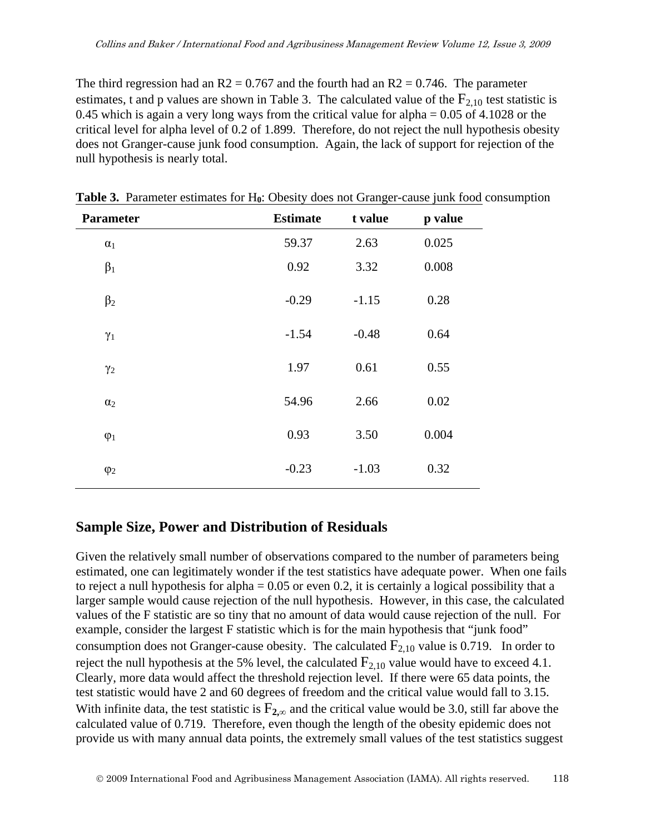The third regression had an  $R2 = 0.767$  and the fourth had an  $R2 = 0.746$ . The parameter estimates, t and p values are shown in Table 3. The calculated value of the  $F_{2,10}$  test statistic is 0.45 which is again a very long ways from the critical value for alpha  $= 0.05$  of 4.1028 or the critical level for alpha level of 0.2 of 1.899. Therefore, do not reject the null hypothesis obesity does not Granger-cause junk food consumption. Again, the lack of support for rejection of the null hypothesis is nearly total.

| <b>Parameter</b> | <b>Estimate</b> | t value | p value |
|------------------|-----------------|---------|---------|
| $\alpha_1$       | 59.37           | 2.63    | 0.025   |
| $\beta_1$        | 0.92            | 3.32    | 0.008   |
| $\beta_2$        | $-0.29$         | $-1.15$ | 0.28    |
| $\gamma_1$       | $-1.54$         | $-0.48$ | 0.64    |
| $\gamma_2$       | 1.97            | 0.61    | 0.55    |
| $\alpha_2$       | 54.96           | 2.66    | 0.02    |
| $\varphi_1$      | 0.93            | 3.50    | 0.004   |
| $\varphi_2$      | $-0.23$         | $-1.03$ | 0.32    |

**Table 3.** Parameter estimates for H**0**: Obesity does not Granger-cause junk food consumption

## **Sample Size, Power and Distribution of Residuals**

Given the relatively small number of observations compared to the number of parameters being estimated, one can legitimately wonder if the test statistics have adequate power. When one fails to reject a null hypothesis for alpha  $= 0.05$  or even 0.2, it is certainly a logical possibility that a larger sample would cause rejection of the null hypothesis. However, in this case, the calculated values of the F statistic are so tiny that no amount of data would cause rejection of the null. For example, consider the largest F statistic which is for the main hypothesis that "junk food" consumption does not Granger-cause obesity. The calculated  $F_{2,10}$  value is 0.719. In order to reject the null hypothesis at the 5% level, the calculated  $F_{2,10}$  value would have to exceed 4.1. Clearly, more data would affect the threshold rejection level. If there were 65 data points, the test statistic would have 2 and 60 degrees of freedom and the critical value would fall to 3.15. With infinite data, the test statistic is  $F_{2,\infty}$  and the critical value would be 3.0, still far above the calculated value of 0.719. Therefore, even though the length of the obesity epidemic does not provide us with many annual data points, the extremely small values of the test statistics suggest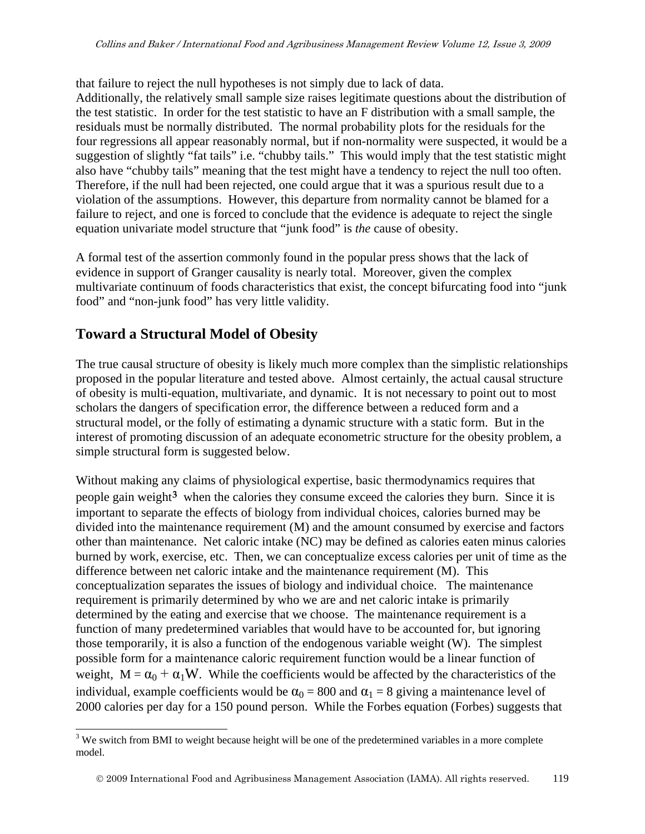that failure to reject the null hypotheses is not simply due to lack of data.

Additionally, the relatively small sample size raises legitimate questions about the distribution of the test statistic. In order for the test statistic to have an F distribution with a small sample, the residuals must be normally distributed. The normal probability plots for the residuals for the four regressions all appear reasonably normal, but if non-normality were suspected, it would be a suggestion of slightly "fat tails" i.e. "chubby tails." This would imply that the test statistic might also have "chubby tails" meaning that the test might have a tendency to reject the null too often. Therefore, if the null had been rejected, one could argue that it was a spurious result due to a violation of the assumptions. However, this departure from normality cannot be blamed for a failure to reject, and one is forced to conclude that the evidence is adequate to reject the single equation univariate model structure that "junk food" is *the* cause of obesity.

A formal test of the assertion commonly found in the popular press shows that the lack of evidence in support of Granger causality is nearly total. Moreover, given the complex multivariate continuum of foods characteristics that exist, the concept bifurcating food into "junk food" and "non-junk food" has very little validity.

# **Toward a Structural Model of Obesity**

The true causal structure of obesity is likely much more complex than the simplistic relationships proposed in the popular literature and tested above. Almost certainly, the actual causal structure of obesity is multi-equation, multivariate, and dynamic. It is not necessary to point out to most scholars the dangers of specification error, the difference between a reduced form and a structural model, or the folly of estimating a dynamic structure with a static form. But in the interest of promoting discussion of an adequate econometric structure for the obesity problem, a simple structural form is suggested below.

Without making any claims of physiological expertise, basic thermodynamics requires that people gain weight**[3](#page-8-0)** when the calories they consume exceed the calories they burn. Since it is important to separate the effects of biology from individual choices, calories burned may be divided into the maintenance requirement (M) and the amount consumed by exercise and factors other than maintenance. Net caloric intake (NC) may be defined as calories eaten minus calories burned by work, exercise, etc. Then, we can conceptualize excess calories per unit of time as the difference between net caloric intake and the maintenance requirement (M). This conceptualization separates the issues of biology and individual choice. The maintenance requirement is primarily determined by who we are and net caloric intake is primarily determined by the eating and exercise that we choose. The maintenance requirement is a function of many predetermined variables that would have to be accounted for, but ignoring those temporarily, it is also a function of the endogenous variable weight (W). The simplest possible form for a maintenance caloric requirement function would be a linear function of weight,  $M = \alpha_0 + \alpha_1 W$ . While the coefficients would be affected by the characteristics of the individual, example coefficients would be  $\alpha_0 = 800$  and  $\alpha_1 = 8$  giving a maintenance level of 2000 calories per day for a 150 pound person. While the Forbes equation (Forbes) suggests that

<span id="page-8-0"></span> $\overline{a}$  $3$  We switch from BMI to weight because height will be one of the predetermined variables in a more complete model.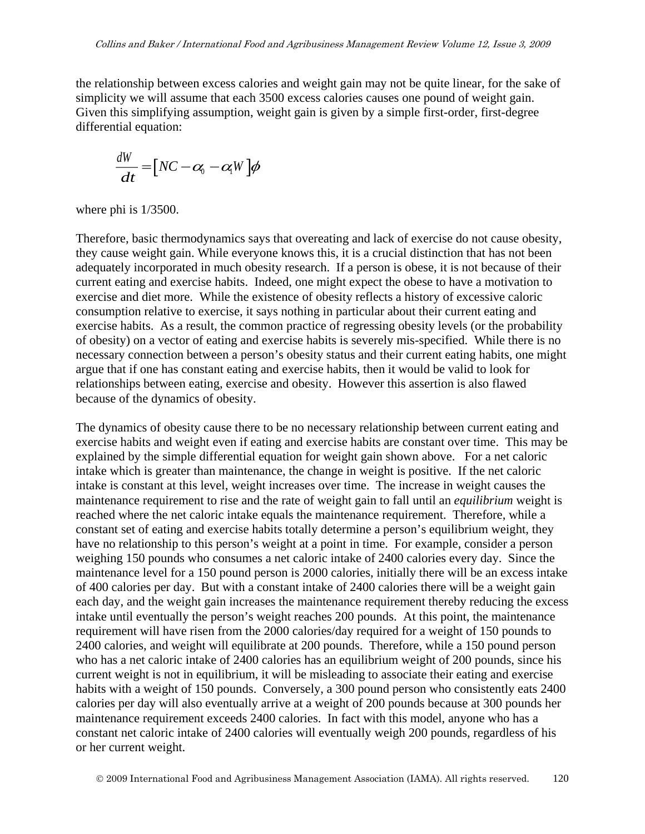the relationship between excess calories and weight gain may not be quite linear, for the sake of simplicity we will assume that each 3500 excess calories causes one pound of weight gain. Given this simplifying assumption, weight gain is given by a simple first-order, first-degree differential equation:

$$
\frac{dW}{dt} = [NC - \alpha_0 - \alpha_0 W]\phi
$$

where phi is 1/3500.

Therefore, basic thermodynamics says that overeating and lack of exercise do not cause obesity, they cause weight gain. While everyone knows this, it is a crucial distinction that has not been adequately incorporated in much obesity research. If a person is obese, it is not because of their current eating and exercise habits. Indeed, one might expect the obese to have a motivation to exercise and diet more. While the existence of obesity reflects a history of excessive caloric consumption relative to exercise, it says nothing in particular about their current eating and exercise habits. As a result, the common practice of regressing obesity levels (or the probability of obesity) on a vector of eating and exercise habits is severely mis-specified. While there is no necessary connection between a person's obesity status and their current eating habits, one might argue that if one has constant eating and exercise habits, then it would be valid to look for relationships between eating, exercise and obesity. However this assertion is also flawed because of the dynamics of obesity.

The dynamics of obesity cause there to be no necessary relationship between current eating and exercise habits and weight even if eating and exercise habits are constant over time. This may be explained by the simple differential equation for weight gain shown above. For a net caloric intake which is greater than maintenance, the change in weight is positive. If the net caloric intake is constant at this level, weight increases over time. The increase in weight causes the maintenance requirement to rise and the rate of weight gain to fall until an *equilibrium* weight is reached where the net caloric intake equals the maintenance requirement. Therefore, while a constant set of eating and exercise habits totally determine a person's equilibrium weight, they have no relationship to this person's weight at a point in time. For example, consider a person weighing 150 pounds who consumes a net caloric intake of 2400 calories every day. Since the maintenance level for a 150 pound person is 2000 calories, initially there will be an excess intake of 400 calories per day. But with a constant intake of 2400 calories there will be a weight gain each day, and the weight gain increases the maintenance requirement thereby reducing the excess intake until eventually the person's weight reaches 200 pounds. At this point, the maintenance requirement will have risen from the 2000 calories/day required for a weight of 150 pounds to 2400 calories, and weight will equilibrate at 200 pounds. Therefore, while a 150 pound person who has a net caloric intake of 2400 calories has an equilibrium weight of 200 pounds, since his current weight is not in equilibrium, it will be misleading to associate their eating and exercise habits with a weight of 150 pounds. Conversely, a 300 pound person who consistently eats 2400 calories per day will also eventually arrive at a weight of 200 pounds because at 300 pounds her maintenance requirement exceeds 2400 calories. In fact with this model, anyone who has a constant net caloric intake of 2400 calories will eventually weigh 200 pounds, regardless of his or her current weight.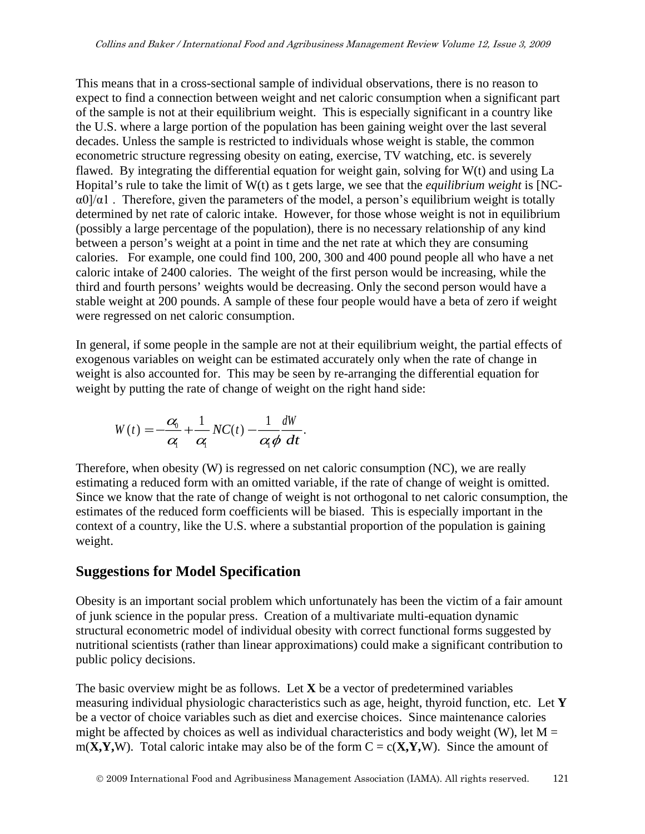This means that in a cross-sectional sample of individual observations, there is no reason to expect to find a connection between weight and net caloric consumption when a significant part of the sample is not at their equilibrium weight. This is especially significant in a country like the U.S. where a large portion of the population has been gaining weight over the last several decades. Unless the sample is restricted to individuals whose weight is stable, the common econometric structure regressing obesity on eating, exercise, TV watching, etc. is severely flawed. By integrating the differential equation for weight gain, solving for W(t) and using La Hopital's rule to take the limit of W(t) as t gets large, we see that the *equilibrium weight* is [NC- $\alpha$ 0]/ $\alpha$ 1. Therefore, given the parameters of the model, a person's equilibrium weight is totally determined by net rate of caloric intake. However, for those whose weight is not in equilibrium (possibly a large percentage of the population), there is no necessary relationship of any kind between a person's weight at a point in time and the net rate at which they are consuming calories. For example, one could find 100, 200, 300 and 400 pound people all who have a net caloric intake of 2400 calories. The weight of the first person would be increasing, while the third and fourth persons' weights would be decreasing. Only the second person would have a stable weight at 200 pounds. A sample of these four people would have a beta of zero if weight were regressed on net caloric consumption.

In general, if some people in the sample are not at their equilibrium weight, the partial effects of exogenous variables on weight can be estimated accurately only when the rate of change in weight is also accounted for. This may be seen by re-arranging the differential equation for weight by putting the rate of change of weight on the right hand side:

$$
W(t) = -\frac{\alpha_0}{\alpha_1} + \frac{1}{\alpha_1} NC(t) - \frac{1}{\alpha_1 \phi} \frac{dW}{dt}.
$$

Therefore, when obesity (W) is regressed on net caloric consumption (NC), we are really estimating a reduced form with an omitted variable, if the rate of change of weight is omitted. Since we know that the rate of change of weight is not orthogonal to net caloric consumption, the estimates of the reduced form coefficients will be biased. This is especially important in the context of a country, like the U.S. where a substantial proportion of the population is gaining weight.

## **Suggestions for Model Specification**

Obesity is an important social problem which unfortunately has been the victim of a fair amount of junk science in the popular press. Creation of a multivariate multi-equation dynamic structural econometric model of individual obesity with correct functional forms suggested by nutritional scientists (rather than linear approximations) could make a significant contribution to public policy decisions.

The basic overview might be as follows. Let **X** be a vector of predetermined variables measuring individual physiologic characteristics such as age, height, thyroid function, etc. Let **Y** be a vector of choice variables such as diet and exercise choices. Since maintenance calories might be affected by choices as well as individual characteristics and body weight (W), let  $M =$ m( $X, Y, W$ ). Total caloric intake may also be of the form  $C = c(X, Y, W)$ . Since the amount of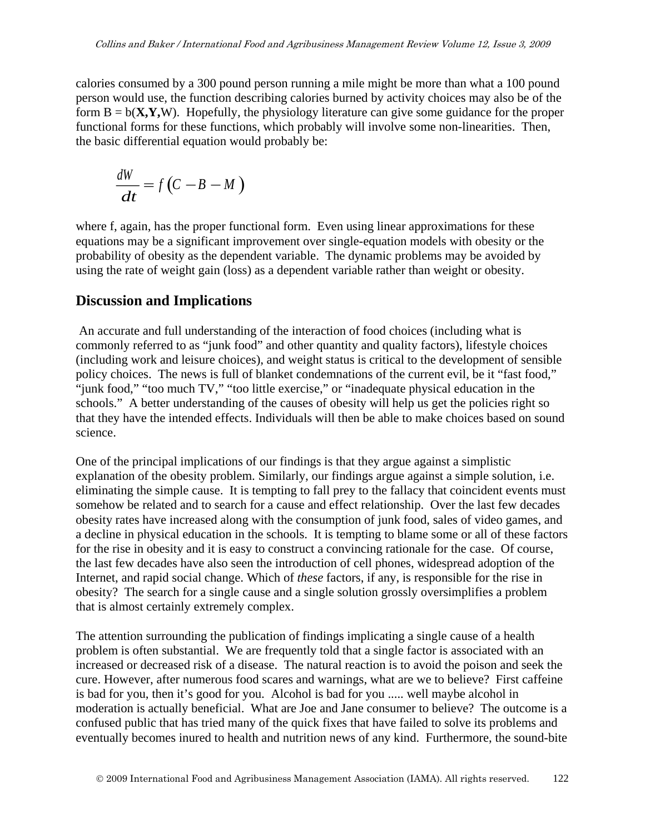calories consumed by a 300 pound person running a mile might be more than what a 100 pound person would use, the function describing calories burned by activity choices may also be of the form  $B = b(X, Y, W)$ . Hopefully, the physiology literature can give some guidance for the proper functional forms for these functions, which probably will involve some non-linearities. Then, the basic differential equation would probably be:

$$
\frac{dW}{dt} = f\left(C - B - M\right)
$$

where f, again, has the proper functional form. Even using linear approximations for these equations may be a significant improvement over single-equation models with obesity or the probability of obesity as the dependent variable. The dynamic problems may be avoided by using the rate of weight gain (loss) as a dependent variable rather than weight or obesity.

#### **Discussion and Implications**

 An accurate and full understanding of the interaction of food choices (including what is commonly referred to as "junk food" and other quantity and quality factors), lifestyle choices (including work and leisure choices), and weight status is critical to the development of sensible policy choices. The news is full of blanket condemnations of the current evil, be it "fast food," "junk food," "too much TV," "too little exercise," or "inadequate physical education in the schools." A better understanding of the causes of obesity will help us get the policies right so that they have the intended effects. Individuals will then be able to make choices based on sound science.

One of the principal implications of our findings is that they argue against a simplistic explanation of the obesity problem. Similarly, our findings argue against a simple solution, i.e. eliminating the simple cause. It is tempting to fall prey to the fallacy that coincident events must somehow be related and to search for a cause and effect relationship. Over the last few decades obesity rates have increased along with the consumption of junk food, sales of video games, and a decline in physical education in the schools. It is tempting to blame some or all of these factors for the rise in obesity and it is easy to construct a convincing rationale for the case. Of course, the last few decades have also seen the introduction of cell phones, widespread adoption of the Internet, and rapid social change. Which of *these* factors, if any, is responsible for the rise in obesity? The search for a single cause and a single solution grossly oversimplifies a problem that is almost certainly extremely complex.

The attention surrounding the publication of findings implicating a single cause of a health problem is often substantial. We are frequently told that a single factor is associated with an increased or decreased risk of a disease. The natural reaction is to avoid the poison and seek the cure. However, after numerous food scares and warnings, what are we to believe? First caffeine is bad for you, then it's good for you. Alcohol is bad for you ..... well maybe alcohol in moderation is actually beneficial. What are Joe and Jane consumer to believe? The outcome is a confused public that has tried many of the quick fixes that have failed to solve its problems and eventually becomes inured to health and nutrition news of any kind. Furthermore, the sound-bite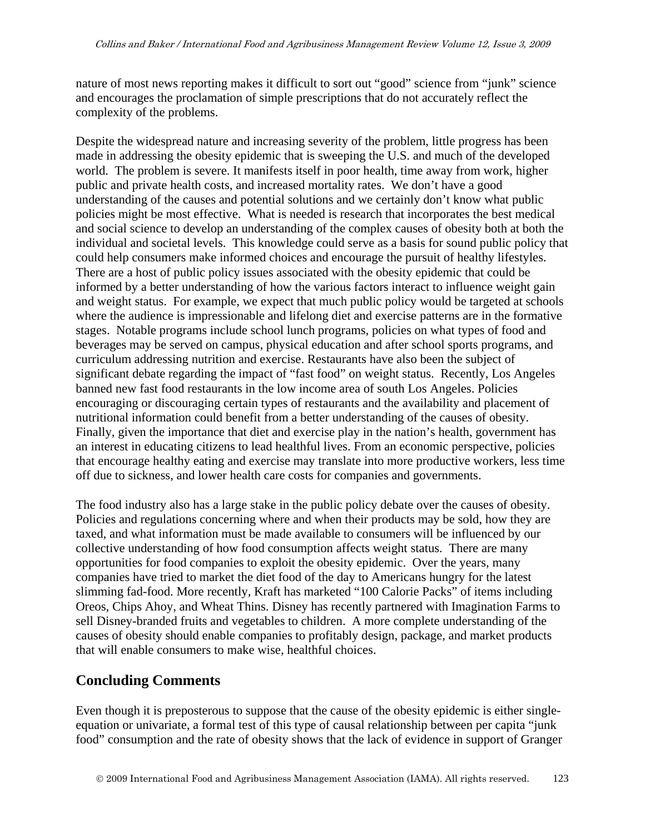nature of most news reporting makes it difficult to sort out "good" science from "junk" science and encourages the proclamation of simple prescriptions that do not accurately reflect the complexity of the problems.

Despite the widespread nature and increasing severity of the problem, little progress has been made in addressing the obesity epidemic that is sweeping the U.S. and much of the developed world. The problem is severe. It manifests itself in poor health, time away from work, higher public and private health costs, and increased mortality rates. We don't have a good understanding of the causes and potential solutions and we certainly don't know what public policies might be most effective. What is needed is research that incorporates the best medical and social science to develop an understanding of the complex causes of obesity both at both the individual and societal levels. This knowledge could serve as a basis for sound public policy that could help consumers make informed choices and encourage the pursuit of healthy lifestyles. There are a host of public policy issues associated with the obesity epidemic that could be informed by a better understanding of how the various factors interact to influence weight gain and weight status. For example, we expect that much public policy would be targeted at schools where the audience is impressionable and lifelong diet and exercise patterns are in the formative stages. Notable programs include school lunch programs, policies on what types of food and beverages may be served on campus, physical education and after school sports programs, and curriculum addressing nutrition and exercise. Restaurants have also been the subject of significant debate regarding the impact of "fast food" on weight status. Recently, Los Angeles banned new fast food restaurants in the low income area of south Los Angeles. Policies encouraging or discouraging certain types of restaurants and the availability and placement of nutritional information could benefit from a better understanding of the causes of obesity. Finally, given the importance that diet and exercise play in the nation's health, government has an interest in educating citizens to lead healthful lives. From an economic perspective, policies that encourage healthy eating and exercise may translate into more productive workers, less time off due to sickness, and lower health care costs for companies and governments.

The food industry also has a large stake in the public policy debate over the causes of obesity. Policies and regulations concerning where and when their products may be sold, how they are taxed, and what information must be made available to consumers will be influenced by our collective understanding of how food consumption affects weight status. There are many opportunities for food companies to exploit the obesity epidemic. Over the years, many companies have tried to market the diet food of the day to Americans hungry for the latest slimming fad-food. More recently, Kraft has marketed "100 Calorie Packs" of items including Oreos, Chips Ahoy, and Wheat Thins. Disney has recently partnered with Imagination Farms to sell Disney-branded fruits and vegetables to children. A more complete understanding of the causes of obesity should enable companies to profitably design, package, and market products that will enable consumers to make wise, healthful choices.

#### **Concluding Comments**

Even though it is preposterous to suppose that the cause of the obesity epidemic is either singleequation or univariate, a formal test of this type of causal relationship between per capita "junk food" consumption and the rate of obesity shows that the lack of evidence in support of Granger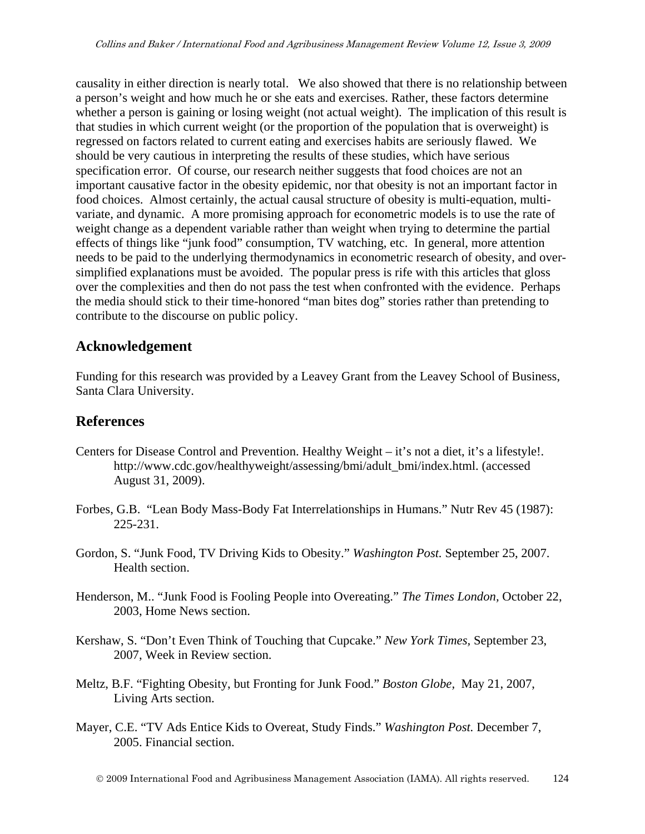causality in either direction is nearly total. We also showed that there is no relationship between a person's weight and how much he or she eats and exercises. Rather, these factors determine whether a person is gaining or losing weight (not actual weight). The implication of this result is that studies in which current weight (or the proportion of the population that is overweight) is regressed on factors related to current eating and exercises habits are seriously flawed. We should be very cautious in interpreting the results of these studies, which have serious specification error. Of course, our research neither suggests that food choices are not an important causative factor in the obesity epidemic, nor that obesity is not an important factor in food choices. Almost certainly, the actual causal structure of obesity is multi-equation, multivariate, and dynamic. A more promising approach for econometric models is to use the rate of weight change as a dependent variable rather than weight when trying to determine the partial effects of things like "junk food" consumption, TV watching, etc. In general, more attention needs to be paid to the underlying thermodynamics in econometric research of obesity, and oversimplified explanations must be avoided. The popular press is rife with this articles that gloss over the complexities and then do not pass the test when confronted with the evidence. Perhaps the media should stick to their time-honored "man bites dog" stories rather than pretending to contribute to the discourse on public policy.

## **Acknowledgement**

Funding for this research was provided by a Leavey Grant from the Leavey School of Business, Santa Clara University.

## **References**

- Centers for Disease Control and Prevention. Healthy Weight it's not a diet, it's a lifestyle!. http://www.cdc.gov/healthyweight/assessing/bmi/adult\_bmi/index.html. (accessed August 31, 2009).
- Forbes, G.B. "Lean Body Mass-Body Fat Interrelationships in Humans." Nutr Rev 45 (1987): 225-231.
- Gordon, S. "Junk Food, TV Driving Kids to Obesity." *Washington Post.* September 25, 2007. Health section.
- Henderson, M.. "Junk Food is Fooling People into Overeating." *The Times London,* October 22, 2003, Home News section.
- Kershaw, S. "Don't Even Think of Touching that Cupcake." *New York Times,* September 23, 2007, Week in Review section.
- Meltz, B.F. "Fighting Obesity, but Fronting for Junk Food." *Boston Globe,* May 21, 2007, Living Arts section.
- Mayer, C.E. "TV Ads Entice Kids to Overeat, Study Finds." *Washington Post.* December 7, 2005. Financial section.